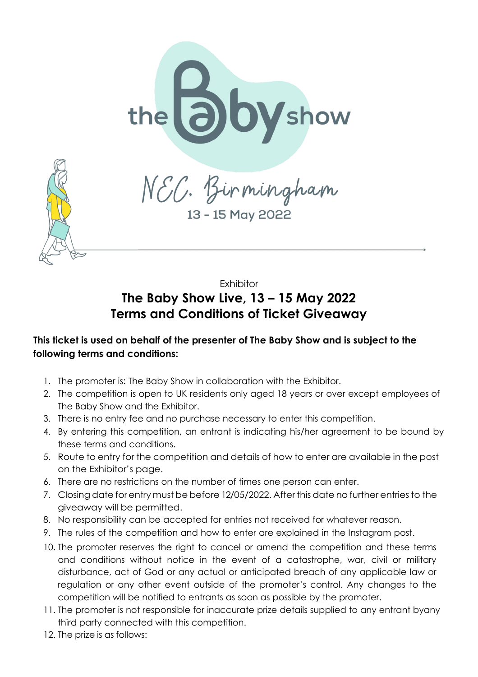

13 - 15 May 2022

**Exhibitor** 

## **The Baby Show Live, 13 – 15 May 2022 Terms and Conditions of Ticket Giveaway**

## **This ticket is used on behalf of the presenter of The Baby Show and is subject to the following terms and conditions:**

- 1. The promoter is: The Baby Show in collaboration with the Exhibitor.
- 2. The competition is open to UK residents only aged 18 years or over except employees of The Baby Show and the Exhibitor.
- 3. There is no entry fee and no purchase necessary to enter this competition.
- 4. By entering this competition, an entrant is indicating his/her agreement to be bound by these terms and conditions.
- 5. Route to entry for the competition and details of how to enter are available in the post on the Exhibitor's page.
- 6. There are no restrictions on the number of times one person can enter.
- 7. Closing date for entry must be before 12/05/2022. After this date no further entries to the giveaway will be permitted.
- 8. No responsibility can be accepted for entries not received for whatever reason.
- 9. The rules of the competition and how to enter are explained in the Instagram post.
- 10. The promoter reserves the right to cancel or amend the competition and these terms and conditions without notice in the event of a catastrophe, war, civil or military disturbance, act of God or any actual or anticipated breach of any applicable law or regulation or any other event outside of the promoter's control. Any changes to the competition will be notified to entrants as soon as possible by the promoter.
- 11. The promoter is not responsible for inaccurate prize details supplied to any entrant byany third party connected with this competition.
- 12. The prize is as follows: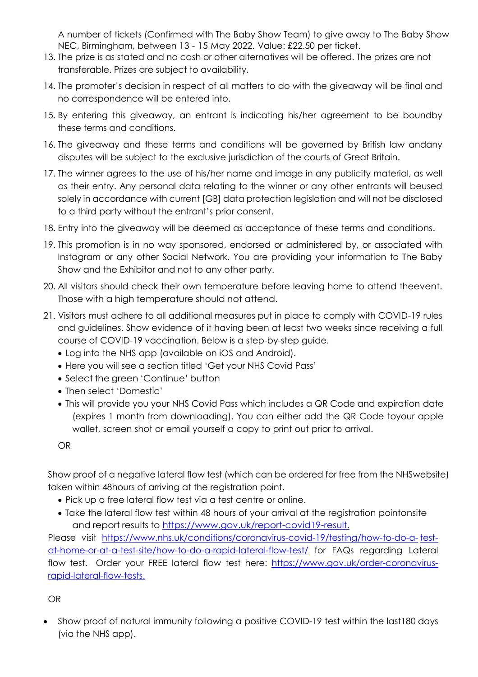A number of tickets (Confirmed with The Baby Show Team) to give away to The Baby Show NEC, Birmingham, between 13 - 15 May 2022. Value: £22.50 per ticket.

- 13. The prize is as stated and no cash or other alternatives will be offered. The prizes are not transferable. Prizes are subject to availability.
- 14. The promoter's decision in respect of all matters to do with the giveaway will be final and no correspondence will be entered into.
- 15. By entering this giveaway, an entrant is indicating his/her agreement to be boundby these terms and conditions.
- 16. The giveaway and these terms and conditions will be governed by British law andany disputes will be subject to the exclusive jurisdiction of the courts of Great Britain.
- 17. The winner agrees to the use of his/her name and image in any publicity material, as well as their entry. Any personal data relating to the winner or any other entrants will beused solely in accordance with current [GB] data protection legislation and will not be disclosed to a third party without the entrant's prior consent.
- 18. Entry into the giveaway will be deemed as acceptance of these terms and conditions.
- 19. This promotion is in no way sponsored, endorsed or administered by, or associated with Instagram or any other Social Network. You are providing your information to The Baby Show and the Exhibitor and not to any other party.
- 20. All visitors should check their own temperature before leaving home to attend theevent. Those with a high temperature should not attend.
- 21. Visitors must adhere to all additional measures put in place to comply with COVID-19 rules and guidelines. Show evidence of it having been at least two weeks since receiving a full course of COVID-19 vaccination. Below is a step-by-step guide.
	- Log into the NHS app (available on iOS and Android).
	- Here you will see a section titled 'Get your NHS Covid Pass'
	- Select the green 'Continue' button
	- Then select 'Domestic'
	- This will provide you your NHS Covid Pass which includes a QR Code and expiration date (expires 1 month from downloading). You can either add the QR Code toyour apple wallet, screen shot or email yourself a copy to print out prior to arrival.

OR

Show proof of a negative lateral flow test (which can be ordered for free from the NHSwebsite) taken within 48hours of arriving at the registration point.

- Pick up a free lateral flow test via a test centre or online.
- Take the lateral flow test within 48 hours of your arrival at the registration pointonsite and report results to [https://www.](http://www.gov.uk/report-covid19-result)go[v.uk/report-covid19-result.](http://www.gov.uk/report-covid19-result)

Please visit [https://www.nhs.uk/conditions/coronavirus-covid-19/testing/how-to-do-a-](http://www.nhs.uk/conditions/coronavirus-covid-19/testing/how-to-do-a-) testat-home-or-at-a-test-site/how-to-do-a-rapid-lateral-flow-test/ for FAQs regarding Lateral flow test. Order your FREE lateral flow test here: [https://www.](http://www.gov.uk/order-coronavirus-rapid-)go[v.uk/ord](http://www.gov.uk/order-coronavirus-rapid-)e[r-coronavirus](http://www.gov.uk/order-coronavirus-rapid-)[rapid-la](http://www.gov.uk/order-coronavirus-rapid-)teral-flow-tests.

OR

 Show proof of natural immunity following a positive COVID-19 test within the last180 days (via the NHS app).